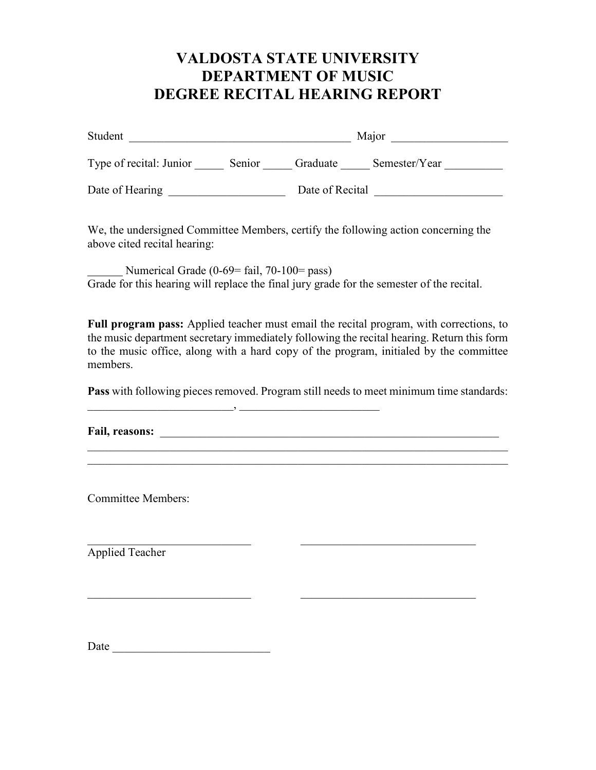# **VALDOSTA STATE UNIVERSITY DEPARTMENT OF MUSIC DEGREE RECITAL HEARING REPORT**

| Student                 |        | Major           |               |
|-------------------------|--------|-----------------|---------------|
| Type of recital: Junior | Senior | Graduate        | Semester/Year |
| Date of Hearing         |        | Date of Recital |               |

We, the undersigned Committee Members, certify the following action concerning the above cited recital hearing:

Numerical Grade (0-69= fail, 70-100= pass) Grade for this hearing will replace the final jury grade for the semester of the recital.

**Full program pass:** Applied teacher must email the recital program, with corrections, to the music department secretary immediately following the recital hearing. Return this form to the music office, along with a hard copy of the program, initialed by the committee members.

**Pass** with following pieces removed. Program still needs to meet minimum time standards:

 $\_$  , and the set of the set of the set of the set of the set of the set of the set of the set of the set of the set of the set of the set of the set of the set of the set of the set of the set of the set of the set of th

 $\frac{1}{2}$  ,  $\frac{1}{2}$  ,  $\frac{1}{2}$  ,  $\frac{1}{2}$  ,  $\frac{1}{2}$  ,  $\frac{1}{2}$  ,  $\frac{1}{2}$  ,  $\frac{1}{2}$  ,  $\frac{1}{2}$  ,  $\frac{1}{2}$  ,  $\frac{1}{2}$  ,  $\frac{1}{2}$  ,  $\frac{1}{2}$  ,  $\frac{1}{2}$  ,  $\frac{1}{2}$  ,  $\frac{1}{2}$  ,  $\frac{1}{2}$  ,  $\frac{1}{2}$  ,  $\frac{1$ 

\_\_\_\_\_\_\_\_\_\_\_\_\_\_\_\_\_\_\_\_\_\_\_\_\_, \_\_\_\_\_\_\_\_\_\_\_\_\_\_\_\_\_\_\_\_\_\_\_\_

**Fail, reasons:** \_\_\_\_\_\_\_\_\_\_\_\_\_\_\_\_\_\_\_\_\_\_\_\_\_\_\_\_\_\_\_\_\_\_\_\_\_\_\_\_\_\_\_\_\_\_\_\_\_\_\_\_\_\_\_\_\_\_

Committee Members:

Applied Teacher

Date  $\Box$